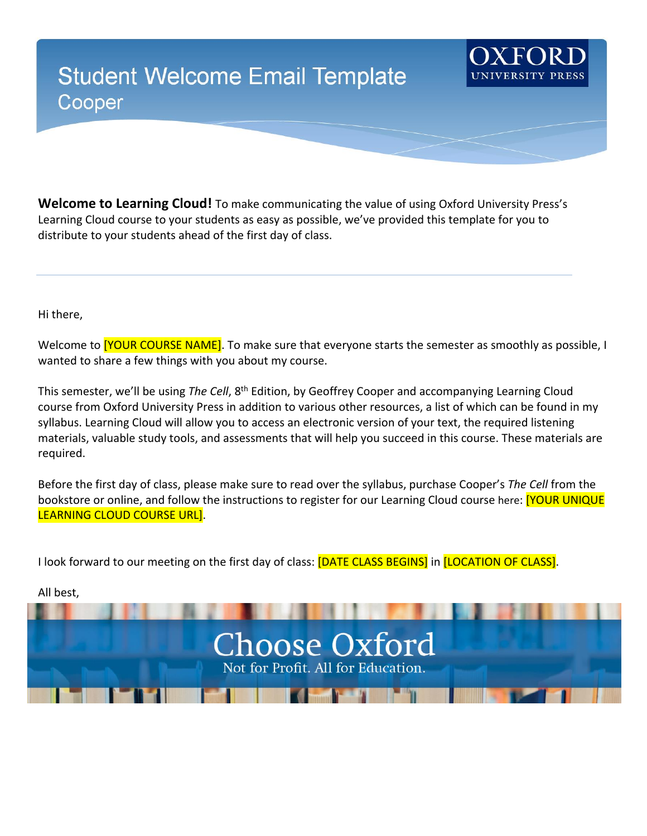## **Student Welcome Email Template** Cooper

**Welcome to Learning Cloud!** To make communicating the value of using Oxford University Press's Learning Cloud course to your students as easy as possible, we've provided this template for you to distribute to your students ahead of the first day of class.

Hi there,

Welcome to **[YOUR COURSE NAME]**. To make sure that everyone starts the semester as smoothly as possible, I wanted to share a few things with you about my course.

This semester, we'll be using *The Cell*, 8th Edition, by Geoffrey Cooper and accompanying Learning Cloud course from Oxford University Press in addition to various other resources, a list of which can be found in my syllabus. Learning Cloud will allow you to access an electronic version of your text, the required listening materials, valuable study tools, and assessments that will help you succeed in this course. These materials are required.

Before the first day of class, please make sure to read over the syllabus, purchase Cooper's *The Cell* from the bookstore or online, and follow the instructions to register for our Learning Cloud course here: **[YOUR UNIQUE** LEARNING CLOUD COURSE URL].

I look forward to our meeting on the first day of class: [DATE CLASS BEGINS] in [LOCATION OF CLASS].